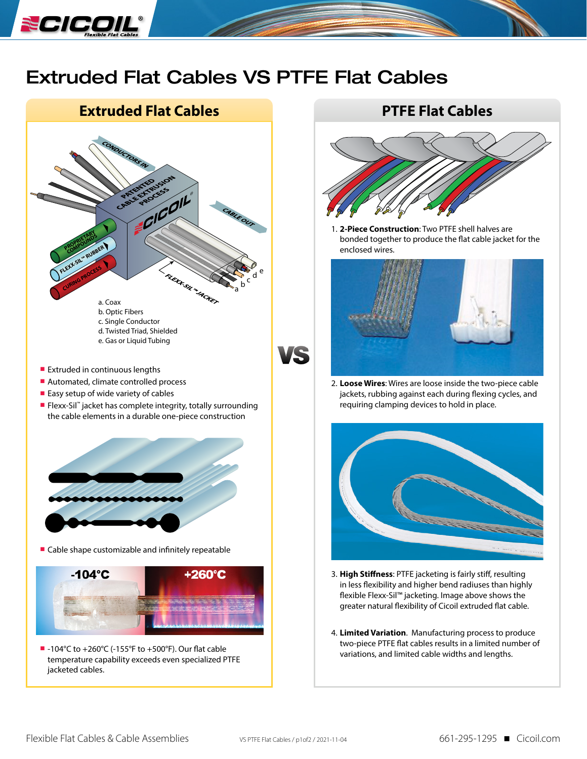

## Extruded Flat Cables VS PTFE Flat Cables

## **Extruded Flat Cables PTFE Flat Cables**



- **Extruded in continuous lengths**
- Automated, climate controlled process
- Easy setup of wide variety of cables
- Flexx-Sil™ jacket has complete integrity, totally surrounding the cable elements in a durable one-piece construction



■ Cable shape customizable and infinitely repeatable



 $-104^{\circ}$ C to +260 $^{\circ}$ C (-155 $^{\circ}$ F to +500 $^{\circ}$ F). Our flat cable temperature capability exceeds even specialized PTFE jacketed cables.



1. **2-Piece Construction**: Two PTFE shell halves are bonded together to produce the flat cable jacket for the enclosed wires.



2. **Loose Wires**: Wires are loose inside the two-piece cable jackets, rubbing against each during flexing cycles, and requiring clamping devices to hold in place.



- 3. **High Stiffness**: PTFE jacketing is fairly stiff, resulting in less flexibility and higher bend radiuses than highly flexible Flexx-Sil™ jacketing. Image above shows the greater natural flexibility of Cicoil extruded flat cable.
- 4. **Limited Variation**. Manufacturing process to produce two-piece PTFE flat cables results in a limited number of variations, and limited cable widths and lengths.

Æ